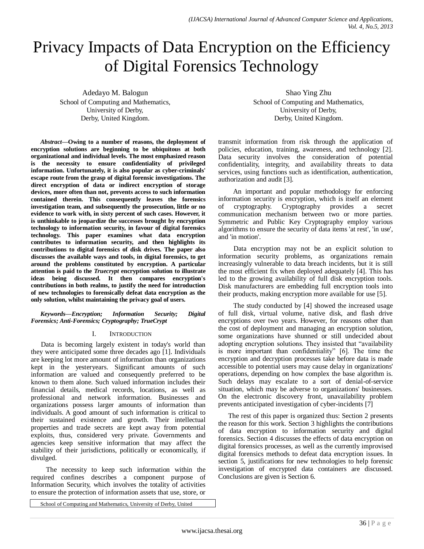# Privacy Impacts of Data Encryption on the Efficiency of Digital Forensics Technology

Adedayo M. Balogun School of Computing and Mathematics, University of Derby, Derby, United Kingdom.

*Abstract***—Owing to a number of reasons, the deployment of encryption solutions are beginning to be ubiquitous at both organizational and individual levels. The most emphasized reason is the necessity to ensure confidentiality of privileged information. Unfortunately, it is also popular as cyber-criminals' escape route from the grasp of digital forensic investigations. The direct encryption of data or indirect encryption of storage devices, more often than not, prevents access to such information contained therein. This consequently leaves the forensics investigation team, and subsequently the prosecution, little or no evidence to work with, in sixty percent of such cases. However, it is unthinkable to jeopardize the successes brought by encryption technology to information security, in favour of digital forensics technology. This paper examines what data encryption contributes to information security, and then highlights its contributions to digital forensics of disk drives. The paper also discusses the available ways and tools, in digital forensics, to get around the problems constituted by encryption. A particular attention is paid to the** *Truecrypt* **encryption solution to illustrate ideas being discussed. It then compares encryption's contributions in both realms, to justify the need for introduction of new technologies to forensically defeat data encryption as the only solution, whilst maintaining the privacy goal of users.**

*Keywords—Encryption; Information Security; Digital Forensics; Anti-Forensics; Cryptography; TrueCrypt*

## I. INTRODUCTION

Data is becoming largely existent in today's world than they were anticipated some three decades ago [1]. Individuals are keeping lot more amount of information than organizations kept in the yesteryears. Significant amounts of such information are valued and consequently preferred to be known to them alone. Such valued information includes their financial details, medical records, locations, as well as professional and network information. Businesses and organizations possess larger amounts of information than individuals. A good amount of such information is critical to their sustained existence and growth. Their intellectual properties and trade secrets are kept away from potential exploits, thus, considered very private. Governments and agencies keep sensitive information that may affect the stability of their jurisdictions, politically or economically, if divulged.

 The necessity to keep such information within the required confines describes a component purpose of Information Security, which involves the totality of activities to ensure the protection of information assets that use, store, or

Shao Ying Zhu School of Computing and Mathematics, University of Derby, Derby, United Kingdom.

transmit information from risk through the application of policies, education, training, awareness, and technology [2]. Data security involves the consideration of potential confidentiality, integrity, and availability threats to data services, using functions such as identification, authentication, authorization and audit [3].

 An important and popular methodology for enforcing information security is encryption, which is itself an element of cryptography. Cryptography provides a secret communication mechanism between two or more parties. Symmetric and Public Key Cryptography employ various algorithms to ensure the security of data items 'at rest', 'in use', and 'in motion'.

 Data encryption may not be an explicit solution to information security problems, as organizations remain increasingly vulnerable to data breach incidents, but it is still the most efficient fix when deployed adequately [4]. This has led to the growing availability of full disk encryption tools. Disk manufacturers are embedding full encryption tools into their products, making encryption more available for use [5].

 The study conducted by [4] showed the increased usage of full disk, virtual volume, native disk, and flash drive encryptions over two years. However, for reasons other than the cost of deployment and managing an encryption solution, some organizations have shunned or still undecided about adopting encryption solutions. They insisted that "availability is more important than confidentiality" [6]. The time the encryption and decryption processes take before data is made accessible to potential users may cause delay in organizations' operations, depending on how complex the base algorithm is. Such delays may escalate to a sort of denial-of-service situation, which may be adverse to organizations' businesses. On the electronic discovery front, unavailability problem prevents anticipated investigation of cyber-incidents [7]

The rest of this paper is organized thus: Section 2 presents the reason for this work. Section 3 highlights the contributions of data encryption to information security and digital forensics. Section 4 discusses the effects of data encryption on digital forensics processes, as well as the currently improvised digital forensics methods to defeat data encryption issues. In section 5, justifications for new technologies to help forensic investigation of encrypted data containers are discussed. Conclusions are given is Section 6.

School of Computing and Mathematics, University of Derby, United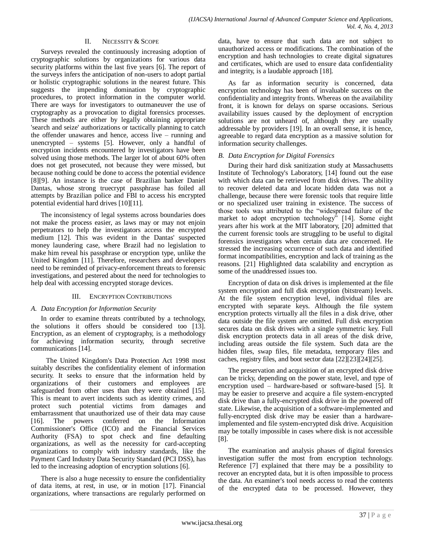## II. NECESSITY & SCOPE

Surveys revealed the continuously increasing adoption of cryptographic solutions by organizations for various data security platforms within the last five years [6]. The report of the surveys infers the anticipation of non-users to adopt partial or holistic cryptographic solutions in the nearest future. This suggests the impending domination by cryptographic procedures, to protect information in the computer world. There are ways for investigators to outmaneuver the use of cryptography as a provocation to digital forensics processes. These methods are either by legally obtaining appropriate 'search and seize' authorizations or tactically planning to catch the offender unawares and hence, access live – running and unencrypted – systems [5]. However, only a handful of encryption incidents encountered by investigators have been solved using those methods. The larger lot of about 60% often does not get prosecuted, not because they were missed, but because nothing could be done to access the potential evidence [8][9]. An instance is the case of Brazilian banker Daniel Dantas, whose strong truecrypt passphrase has foiled all attempts by Brazilian police and FBI to access his encrypted potential evidential hard drives [10][11].

The inconsistency of legal systems across boundaries does not make the process easier, as laws may or may not enjoin perpetrators to help the investigators access the encrypted medium [12]. This was evident in the Dantas' suspected money laundering case, where Brazil had no legislation to make him reveal his passphrase or encryption type, unlike the United Kingdom [11]. Therefore, researchers and developers need to be reminded of privacy-enforcement threats to forensic investigations, and pestered about the need for technologies to help deal with accessing encrypted storage devices.

## III. ENCRYPTION CONTRIBUTIONS

## *A. Data Encryption for Information Security*

In order to examine threats contributed by a technology, the solutions it offers should be considered too [13]. Encryption, as an element of cryptography, is a methodology for achieving information security, through secretive communications [14].

 The United Kingdom's Data Protection Act 1998 most suitably describes the confidentiality element of information security. It seeks to ensure that the information held by organizations of their customers and employees are safeguarded from other uses than they were obtained [15]. This is meant to avert incidents such as identity crimes, and protect such potential victims from damages and embarrassment that unauthorized use of their data may cause [16]. The powers conferred on the Information Commissioner's Office (ICO) and the Financial Services Authority (FSA) to spot check and fine defaulting organizations, as well as the necessity for card-accepting organizations to comply with industry standards, like the Payment Card Industry Data Security Standard (PCI DSS), has led to the increasing adoption of encryption solutions [6].

There is also a huge necessity to ensure the confidentiality of data items, at rest, in use, or in motion [17]. Financial organizations, where transactions are regularly performed on

data, have to ensure that such data are not subject to unauthorized access or modifications. The combination of the encryption and hash technologies to create digital signatures and certificates, which are used to ensure data confidentiality and integrity, is a laudable approach [18].

As far as information security is concerned, data encryption technology has been of invaluable success on the confidentiality and integrity fronts. Whereas on the availability front, it is known for delays on sparse occasions. Serious availability issues caused by the deployment of encryption solutions are not unheard of, although they are usually addressable by providers [19]. In an overall sense, it is hence, agreeable to regard data encryption as a massive solution for information security challenges.

## *B. Data Encryption for Digital Forensics*

During their hard disk sanitization study at Massachusetts Institute of Technology's Laboratory, [14] found out the ease with which data can be retrieved from disk drives. The ability to recover deleted data and locate hidden data was not a challenge, because there were forensic tools that require little or no specialized user training in existence. The success of those tools was attributed to the "widespread failure of the market to adopt encryption technology<sup>5</sup> [14]. Some eight years after his work at the MIT laboratory, [20] admitted that the current forensic tools are struggling to be useful to digital forensics investigators when certain data are concerned. He stressed the increasing occurrence of such data and identified format incompatibilities, encryption and lack of training as the reasons. [21] Highlighted data scalability and encryption as some of the unaddressed issues too.

Encryption of data on disk drives is implemented at the file system encryption and full disk encryption (bitstream) levels. At the file system encryption level, individual files are encrypted with separate keys. Although the file system encryption protects virtually all the files in a disk drive, other data outside the file system are omitted. Full disk encryption secures data on disk drives with a single symmetric key. Full disk encryption protects data in all areas of the disk drive, including areas outside the file system. Such data are the hidden files, swap files, file metadata, temporary files and caches, registry files, and boot sector data [22][23][24][25].

The preservation and acquisition of an encrypted disk drive can be tricky, depending on the power state, level, and type of encryption used – hardware-based or software-based [5]. It may be easier to preserve and acquire a file system-encrypted disk drive than a fully-encrypted disk drive in the powered off state. Likewise, the acquisition of a software-implemented and fully-encrypted disk drive may be easier than a hardwareimplemented and file system-encrypted disk drive. Acquisition may be totally impossible in cases where disk is not accessible [8].

The examination and analysis phases of digital forensics investigation suffer the most from encryption technology. Reference [7] explained that there may be a possibility to recover an encrypted data, but it is often impossible to process the data. An examiner's tool needs access to read the contents of the encrypted data to be processed. However, they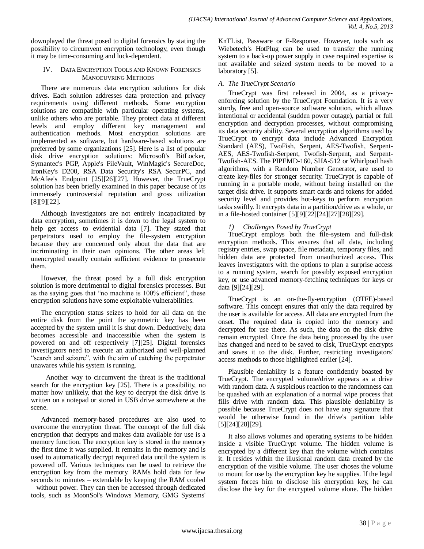downplayed the threat posed to digital forensics by stating the possibility to circumvent encryption technology, even though it may be time-consuming and luck-dependent.

## IV. DATA ENCRYPTION TOOLS AND KNOWN FORENSICS MANOEUVRING METHODS

There are numerous data encryption solutions for disk drives. Each solution addresses data protection and privacy requirements using different methods. Some encryption solutions are compatible with particular operating systems, unlike others who are portable. They protect data at different levels and employ different key management and authentication methods. Most encryption solutions are implemented as software, but hardware-based solutions are preferred by some organizations [25]. Here is a list of popular disk drive encryption solutions: Microsoft's BitLocker, Symantec's PGP, Apple's FileVault, WinMagic's SecureDoc, IronKey's D200, RSA Data Security's RSA SecurPC, and McAfee's Endpoint [25][26][27]. However, the TrueCrypt solution has been briefly examined in this paper because of its immensely controversial reputation and gross utilization [8][9][22].

Although investigators are not entirely incapacitated by data encryption, sometimes it is down to the legal system to help get access to evidential data [7]. They stated that perpetrators used to employ the file-system encryption because they are concerned only about the data that are incriminating in their own opinions. The other areas left unencrypted usually contain sufficient evidence to prosecute them.

However, the threat posed by a full disk encryption solution is more detrimental to digital forensics processes. But as the saying goes that "no machine is 100% efficient", these encryption solutions have some exploitable vulnerabilities.

The encryption status seizes to hold for all data on the entire disk from the point the symmetric key has been accepted by the system until it is shut down. Deductively, data becomes accessible and inaccessible when the system is powered on and off respectively [7][25]. Digital forensics investigators need to execute an authorized and well-planned "search and seizure", with the aim of catching the perpetrator unawares while his system is running.

 Another way to circumvent the threat is the traditional search for the encryption key [25]. There is a possibility, no matter how unlikely, that the key to decrypt the disk drive is written on a notepad or stored in USB drive somewhere at the scene.

Advanced memory-based procedures are also used to overcome the encryption threat. The concept of the full disk encryption that decrypts and makes data available for use is a memory function. The encryption key is stored in the memory the first time it was supplied. It remains in the memory and is used to automatically decrypt required data until the system is powered off. Various techniques can be used to retrieve the encryption key from the memory. RAMs hold data for few seconds to minutes – extendable by keeping the RAM cooled – without power. They can then be accessed through dedicated tools, such as MoonSol's Windows Memory, GMG Systems'

KnTList, Passware or F-Response. However, tools such as Wiebetech's HotPlug can be used to transfer the running system to a back-up power supply in case required expertise is not available and seized system needs to be moved to a laboratory [5].

## *A. The TrueCrypt Scenario*

TrueCrypt was first released in 2004, as a privacyenforcing solution by the TrueCrypt Foundation. It is a very sturdy, free and open-source software solution, which allows intentional or accidental (sudden power outage), partial or full encryption and decryption processes, without compromising its data security ability. Several encryption algorithms used by TrueCrypt to encrypt data include Advanced Encryption Standard (AES), TwoFish, Serpent, AES-Twofish, Serpent-AES, AES-Twofish-Serpent, Twofish-Serpent, and Serpent-Twofish-AES. The PIPEMD-160, SHA-512 or Whirlpool hash algorithms, with a Random Number Generator, are used to create key-files for stronger security. TrueCrypt is capable of running in a portable mode, without being installed on the target disk drive. It supports smart cards and tokens for added security level and provides hot-keys to perform encryption tasks swiftly. It encrypts data in a partition/drive as a whole, or in a file-hosted container [5][9][22][24][27][28][29].

# *1) Challenges Posed by TrueCrypt*

TrueCrypt employs both the file-system and full-disk encryption methods. This ensures that all data, including registry entries, swap space, file metadata, temporary files, and hidden data are protected from unauthorized access. This leaves investigators with the options to plan a surprise access to a running system, search for possibly exposed encryption key, or use advanced memory-fetching techniques for keys or data [9][24][29].

TrueCrypt is an on-the-fly-encryption (OTFE)-based software. This concept ensures that only the data required by the user is available for access. All data are encrypted from the onset. The required data is copied into the memory and decrypted for use there. As such, the data on the disk drive remain encrypted. Once the data being processed by the user has changed and need to be saved to disk, TrueCrypt encrypts and saves it to the disk. Further, restricting investigators' access methods to those highlighted earlier [24].

Plausible deniability is a feature confidently boasted by TrueCrypt. The encrypted volume/drive appears as a drive with random data. A suspicious reaction to the randomness can be quashed with an explanation of a normal wipe process that fills drive with random data. This plausible deniability is possible because TrueCrypt does not have any signature that would be otherwise found in the drive's partition table [5][24][28][29].

It also allows volumes and operating systems to be hidden inside a visible TrueCrypt volume. The hidden volume is encrypted by a different key than the volume which contains it. It resides within the illusional random data created by the encryption of the visible volume. The user choses the volume to mount for use by the encryption key he supplies. If the legal system forces him to disclose his encryption key, he can disclose the key for the encrypted volume alone. The hidden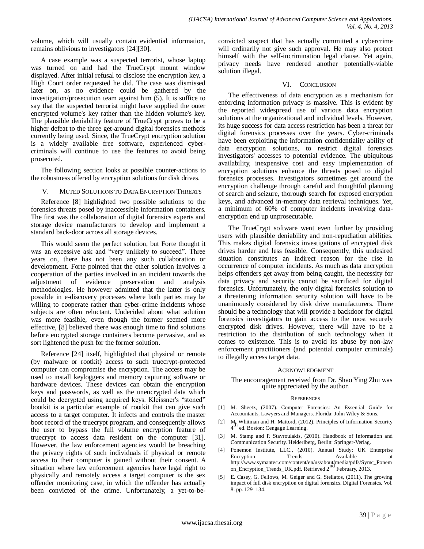volume, which will usually contain evidential information, remains oblivious to investigators [24][30].

A case example was a suspected terrorist, whose laptop was turned on and had the TrueCrypt mount window displayed. After initial refusal to disclose the encryption key, a High Court order requested he did. The case was dismissed later on, as no evidence could be gathered by the investigation/prosecution team against him (5). It is suffice to say that the suspected terrorist might have supplied the outer encrypted volume's key rather than the hidden volume's key. The plausible deniability feature of TrueCrypt proves to be a higher defeat to the three get-around digital forensics methods currently being used. Since, the TrueCrypt encryption solution is a widely available free software, experienced cybercriminals will continue to use the features to avoid being prosecuted.

The following section looks at possible counter-actions to the robustness offered by encryption solutions for disk drives.

## V. MUTED SOLUTIONS TO DATA ENCRYPTION THREATS

Reference [8] highlighted two possible solutions to the forensics threats posed by inaccessible information containers. The first was the collaboration of digital forensics experts and storage device manufacturers to develop and implement a standard back-door across all storage devices.

This would seem the perfect solution, but Forte thought it was an excessive ask and "very unlikely to succeed". Three years on, there has not been any such collaboration or development. Forte pointed that the other solution involves a cooperation of the parties involved in an incident towards the adjustment of evidence preservation and analysis methodologies. He however admitted that the latter is only possible in e-discovery processes where both parties may be willing to cooperate rather than cyber-crime incidents whose subjects are often reluctant. Undecided about what solution was more feasible, even though the former seemed more effective, [8] believed there was enough time to find solutions before encrypted storage containers become pervasive, and as sort lightened the push for the former solution.

Reference [24] itself, highlighted that physical or remote (by malware or rootkit) access to such truecrypt-protected computer can compromise the encryption. The access may be used to install keyloggers and memory capturing software or hardware devices. These devices can obtain the encryption keys and passwords, as well as the unencrypted data which could be decrypted using acquired keys. Kleissner's "stoned" bootkit is a particular example of rootkit that can give such access to a target computer. It infects and controls the master boot record of the truecrypt program, and consequently allows the user to bypass the full volume encryption feature of truecrypt to access data resident on the computer [31]. However, the law enforcement agencies would be breaching the privacy rights of such individuals if physical or remote access to their computer is gained without their consent. A situation where law enforcement agencies have legal right to physically and remotely access a target computer is the sex offender monitoring case, in which the offender has actually been convicted of the crime. Unfortunately, a yet-to-beconvicted suspect that has actually committed a cybercrime will ordinarily not give such approval. He may also protect himself with the self-incrimination legal clause. Yet again, privacy needs have rendered another potentially-viable solution illegal.

## VI. CONCLUSION

The effectiveness of data encryption as a mechanism for enforcing information privacy is massive. This is evident by the reported widespread use of various data encryption solutions at the organizational and individual levels. However, its huge success for data access restriction has been a threat for digital forensics processes over the years. Cyber-criminals have been exploiting the information confidentiality ability of data encryption solutions, to restrict digital forensics investigators' accesses to potential evidence. The ubiquitous availability, inexpensive cost and easy implementation of encryption solutions enhance the threats posed to digital forensics processes. Investigators sometimes get around the encryption challenge through careful and thoughtful planning of search and seizure, thorough search for exposed encryption keys, and advanced in-memory data retrieval techniques. Yet, a minimum of 60% of computer incidents involving dataencryption end up unprosecutable.

The TrueCrypt software went even further by providing users with plausible deniability and non-repudiation abilities. This makes digital forensics investigations of encrypted disk drives harder and less feasible. Consequently, this undesired situation constitutes an indirect reason for the rise in occurrence of computer incidents. As much as data encryption helps offenders get away from being caught, the necessity for data privacy and security cannot be sacrificed for digital forensics. Unfortunately, the only digital forensics solution to a threatening information security solution will have to be unanimously considered by disk drive manufacturers. There should be a technology that will provide a backdoor for digital forensics investigators to gain access to the most securely encrypted disk drives. However, there will have to be a restriction to the distribution of such technology when it comes to existence. This is to avoid its abuse by non-law enforcement practitioners (and potential computer criminals) to illegally access target data.

## ACKNOWLEDGMENT

#### The encouragement received from Dr. Shao Ying Zhu was quite appreciated by the author.

## **REFERENCES**

- [1] M. Sheetz, (2007). Computer Forensics: An Essential Guide for Accountants, Lawyers and Managers. Florida: John Wiley & Sons.
- [2] M<sub>rr</sub> Whitman and H. Mattord, (2012). Principles of Information Security  $4<sup>th</sup>$  ed. Boston: Cengage Learning.
- [3] M. Stamp and P. Stavroulakis, (2010). Handbook of Information and Communication Security. Heiderlberg, Berlin: Springer-Verlag.
- [4] Ponemon Institute, LLC., (2010). Annual Study: UK Enterprise Encryption Trends. Available at http://www.symantec.com/content/en/us/about/media/pdfs/Symc\_Ponem<br>on\_Encryption\_Trends\_UK.pdf. Retrieved 2<sup>nd</sup> February, 2013.
- [5] E. Casey, G. Fellows, M. Geiger and G. Stellatos, (2011). The growing impact of full disk encryption on digital forensics. Digital Forensics. Vol. 8. pp. 129–134.